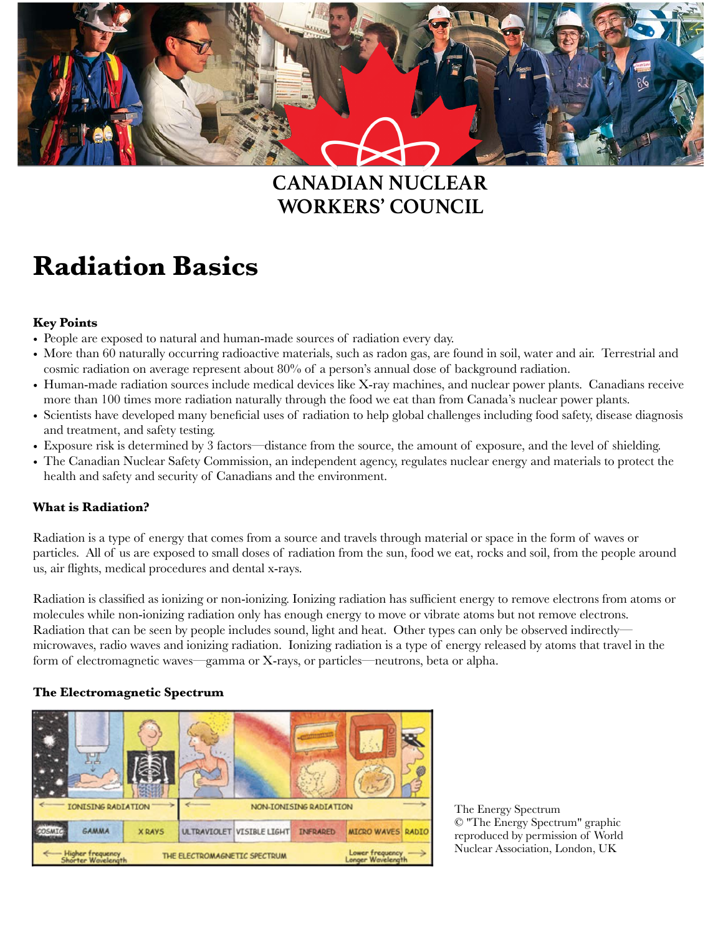

# **WORKERS' COUNCIL CANADIAN NUCLEAR**

# **Radiation Basics**

## **Key Points**

- People are exposed to natural and human-made sources of radiation every day.
- More than 60 naturally occurring radioactive materials, such as radon gas, are found in soil, water and air. Terrestrial and cosmic radiation on average represent about 80% of a person's annual dose of background radiation.
- Human-made radiation sources include medical devices like X-ray machines, and nuclear power plants. Canadians receive more than 100 times more radiation naturally through the food we eat than from Canada's nuclear power plants.
- Scientists have developed many beneficial uses of radiation to help global challenges including food safety, disease diagnosis and treatment, and safety testing.
- Exposure risk is determined by 3 factors—distance from the source, the amount of exposure, and the level of shielding.
- The Canadian Nuclear Safety Commission, an independent agency, regulates nuclear energy and materials to protect the health and safety and security of Canadians and the environment.

## **What is Radiation?**

Radiation is a type of energy that comes from a source and travels through material or space in the form of waves or particles. All of us are exposed to small doses of radiation from the sun, food we eat, rocks and soil, from the people around us, air flights, medical procedures and dental x-rays.

Radiation is classified as ionizing or non-ionizing. Ionizing radiation has sufficient energy to remove electrons from atoms or molecules while non-ionizing radiation only has enough energy to move or vibrate atoms but not remove electrons. Radiation that can be seen by people includes sound, light and heat. Other types can only be observed indirectly microwaves, radio waves and ionizing radiation. Ionizing radiation is a type of energy released by atoms that travel in the form of electromagnetic waves—gamma or X-rays, or particles—neutrons, beta or alpha.

#### **The Electromagnetic Spectrum**



The Energy Spectrum © "The Energy Spectrum" graphic reproduced by permission of World Nuclear Association, London, UK